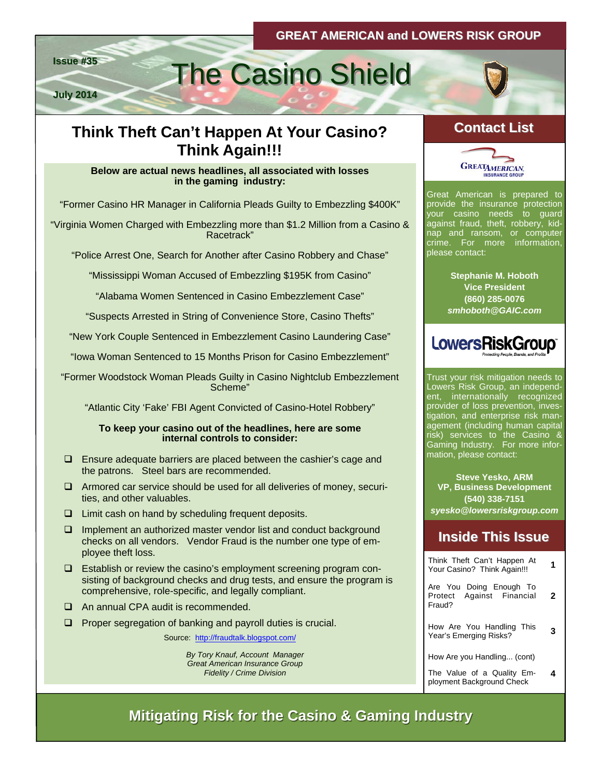**July 2014**

# **Issue #35** The Casino Shield

## **Think Theft Can't Happen At Your Casino? Contact List Contact Think Again!!!**

#### **Below are actual news headlines, all associated with losses in the gaming industry:**

"Former Casino HR Manager in California Pleads Guilty to Embezzling \$400K"

"Virginia Women Charged with Embezzling more than \$1.2 Million from a Casino & Racetrack"

"Police Arrest One, Search for Another after Casino Robbery and Chase"

"Mississippi Woman Accused of Embezzling \$195K from Casino"

"Alabama Women Sentenced in Casino Embezzlement Case"

"Suspects Arrested in String of Convenience Store, Casino Thefts"

"New York Couple Sentenced in Embezzlement Casino Laundering Case"

"Iowa Woman Sentenced to 15 Months Prison for Casino Embezzlement"

"Former Woodstock Woman Pleads Guilty in Casino Nightclub Embezzlement Scheme"

"Atlantic City 'Fake' FBI Agent Convicted of Casino-Hotel Robbery"

#### **To keep your casino out of the headlines, here are some internal controls to consider:**

- $\square$  Ensure adequate barriers are placed between the cashier's cage and the patrons. Steel bars are recommended.
- $\Box$  Armored car service should be used for all deliveries of money, securities, and other valuables.
- $\Box$  Limit cash on hand by scheduling frequent deposits.
- Implement an authorized master vendor list and conduct background checks on all vendors. Vendor Fraud is the number one type of employee theft loss.
- $\Box$  Establish or review the casino's employment screening program consisting of background checks and drug tests, and ensure the program is comprehensive, role-specific, and legally compliant.
- □ An annual CPA audit is recommended.
- $\Box$  Proper segregation of banking and payroll duties is crucial.

Source: <http://fraudtalk.blogspot.com/>

*By Tory Knauf, Account Manager Great American Insurance Group Fidelity / Crime Division* 





Great American is prepared to provide the insurance protection your casino needs to guard against fraud, theft, robbery, kidnap and ransom, or computer crime. For more information, please contact:

> **Stephanie M. Hoboth Vice President (860) 285-0076**  *smhoboth@GAIC.com*



Trust your risk mitigation needs to Lowers Risk Group, an independent, internationally recognized provider of loss prevention, investigation, and enterprise risk management (including human capital risk) services to the Casino & Gaming Industry. For more information, please contact:

**Steve Yesko, ARM VP, Business Development (540) 338-7151**  *syesko@lowersriskgroup.com* 

## **Inside This Issue Inside This Issue**

| Think Theft Can't Happen At<br>Your Casino? Think Again!!!     | 1 |
|----------------------------------------------------------------|---|
| Are You Doing Enough To<br>Protect Against Financial<br>Fraud? | 2 |
| How Are You Handling This<br>Year's Emerging Risks?            | 3 |
| How Are you Handling (cont)                                    |   |
| The Value of a Quality Em-<br>ployment Background Check        |   |

**Mitigating Risk for the Casino & Gaming Industry Mitigating Risk for the Casino & Gaming Industry**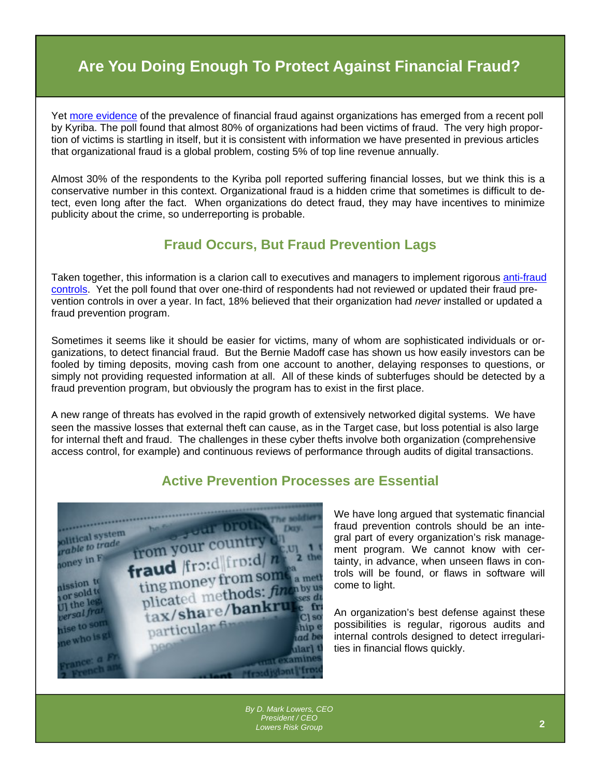## **Are You Doing Enough To Protect Against Financial Fraud?**

Yet [more evidence](http://www.digitaljournal.com/pr/1868416#ixzz30BluEnBJ) of the prevalence of financial fraud against organizations has emerged from a recent poll by Kyriba. The poll found that almost 80% of organizations had been victims of fraud. The very high proportion of victims is startling in itself, but it is consistent with information we have presented in previous articles that organizational fraud is a global problem, costing 5% of top line revenue annually.

Almost 30% of the respondents to the Kyriba poll reported suffering financial losses, but we think this is a conservative number in this context. Organizational fraud is a hidden crime that sometimes is difficult to detect, even long after the fact. When organizations do detect fraud, they may have incentives to minimize publicity about the crime, so underreporting is probable.

#### **Fraud Occurs, But Fraud Prevention Lags**

Taken together, this information is a clarion call to executives and managers to implement rigorous [anti-fraud](http://www.lowersrisk.com/services/fraud-investigations.php)  [controls](http://www.lowersrisk.com/services/fraud-investigations.php). Yet the poll found that over one-third of respondents had not reviewed or updated their fraud prevention controls in over a year. In fact, 18% believed that their organization had *never* installed or updated a fraud prevention program.

Sometimes it seems like it should be easier for victims, many of whom are sophisticated individuals or organizations, to detect financial fraud. But the Bernie Madoff case has shown us how easily investors can be fooled by timing deposits, moving cash from one account to another, delaying responses to questions, or simply not providing requested information at all. All of these kinds of subterfuges should be detected by a fraud prevention program, but obviously the program has to exist in the first place.

A new range of threats has evolved in the rapid growth of extensively networked digital systems. We have seen the massive losses that external theft can cause, as in the Target case, but loss potential is also large for internal theft and fraud. The challenges in these cyber thefts involve both organization (comprehensive access control, for example) and continuous reviews of performance through audits of digital transactions.

### **Active Prevention Processes are Essential**



We have long argued that systematic financial fraud prevention controls should be an integral part of every organization's risk management program. We cannot know with certainty, in advance, when unseen flaws in controls will be found, or flaws in software will come to light.

An organization's best defense against these possibilities is regular, rigorous audits and internal controls designed to detect irregularities in financial flows quickly.

*By D. Mark Lowers, CEO President / CEO Lowers Risk Group*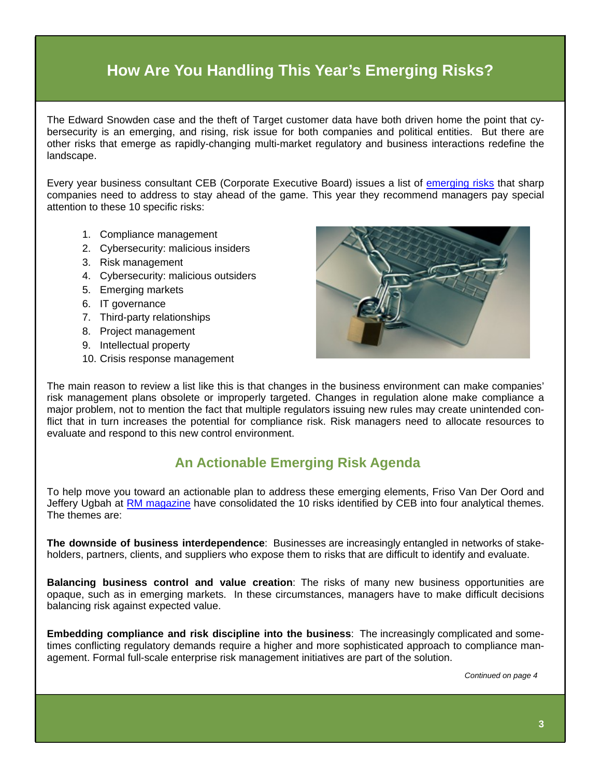## **How Are You Handling This Year's Emerging Risks?**

The Edward Snowden case and the theft of Target customer data have both driven home the point that cybersecurity is an emerging, and rising, risk issue for both companies and political entities. But there are other risks that emerge as rapidly-changing multi-market regulatory and business interactions redefine the landscape.

Every year business consultant CEB (Corporate Executive Board) issues a list of [emerging risks](http://www.riskmanagementmonitor.com/enterprise-hot-spots-for-2014/) that sharp companies need to address to stay ahead of the game. This year they recommend managers pay special attention to these 10 specific risks:

- 1. Compliance management
- 2. Cybersecurity: malicious insiders
- 3. Risk management
- 4. Cybersecurity: malicious outsiders
- 5. Emerging markets
- 6. IT governance
- 7. Third-party relationships
- 8. Project management
- 9. Intellectual property
- 10. Crisis response management



The main reason to review a list like this is that changes in the business environment can make companies' risk management plans obsolete or improperly targeted. Changes in regulation alone make compliance a major problem, not to mention the fact that multiple regulators issuing new rules may create unintended conflict that in turn increases the potential for compliance risk. Risk managers need to allocate resources to evaluate and respond to this new control environment.

### **An Actionable Emerging Risk Agenda**

To help move you toward an actionable plan to address these emerging elements, Friso Van Der Oord and Jeffery Ugbah at [RM magazine](http://www.rmmagazine.com/2014/01/21/understanding-enterprise-hot-spots-for-2014/) have consolidated the 10 risks identified by CEB into four analytical themes. The themes are:

**The downside of business interdependence**: Businesses are increasingly entangled in networks of stakeholders, partners, clients, and suppliers who expose them to risks that are difficult to identify and evaluate.

**Balancing business control and value creation**: The risks of many new business opportunities are opaque, such as in emerging markets. In these circumstances, managers have to make difficult decisions balancing risk against expected value.

**Embedding compliance and risk discipline into the business**: The increasingly complicated and sometimes conflicting regulatory demands require a higher and more sophisticated approach to compliance management. Formal full-scale enterprise risk management initiatives are part of the solution.

*Continued on page 4*